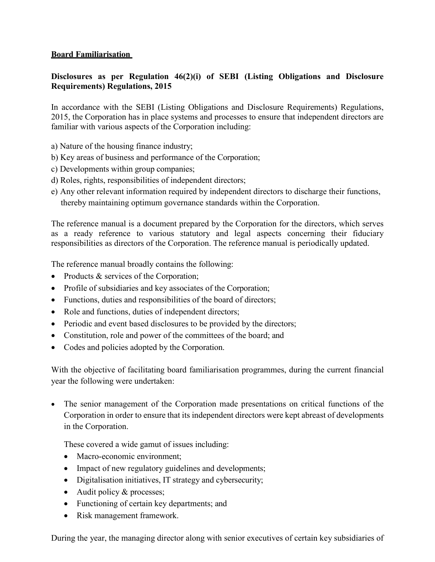## **Board Familiarisation**

## **Disclosures as per Regulation 46(2)(i) of SEBI (Listing Obligations and Disclosure Requirements) Regulations, 2015**

In accordance with the SEBI (Listing Obligations and Disclosure Requirements) Regulations, 2015, the Corporation has in place systems and processes to ensure that independent directors are familiar with various aspects of the Corporation including:

- a) Nature of the housing finance industry;
- b) Key areas of business and performance of the Corporation;
- c) Developments within group companies;
- d) Roles, rights, responsibilities of independent directors;
- e) Any other relevant information required by independent directors to discharge their functions, thereby maintaining optimum governance standards within the Corporation.

The reference manual is a document prepared by the Corporation for the directors, which serves as a ready reference to various statutory and legal aspects concerning their fiduciary responsibilities as directors of the Corporation. The reference manual is periodically updated.

The reference manual broadly contains the following:

- Products & services of the Corporation;
- Profile of subsidiaries and key associates of the Corporation;
- Functions, duties and responsibilities of the board of directors;
- Role and functions, duties of independent directors;
- Periodic and event based disclosures to be provided by the directors;
- Constitution, role and power of the committees of the board; and
- Codes and policies adopted by the Corporation.

With the objective of facilitating board familiarisation programmes, during the current financial year the following were undertaken:

The senior management of the Corporation made presentations on critical functions of the Corporation in order to ensure that its independent directors were kept abreast of developments in the Corporation.

These covered a wide gamut of issues including:

- Macro-economic environment;
- Impact of new regulatory guidelines and developments;
- Digitalisation initiatives, IT strategy and cybersecurity;
- Audit policy & processes;
- Functioning of certain key departments; and
- Risk management framework.

During the year, the managing director along with senior executives of certain key subsidiaries of